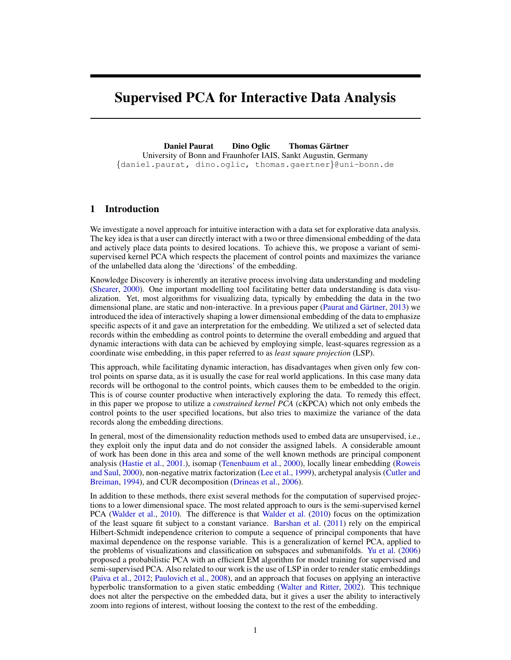# <span id="page-0-0"></span>Supervised PCA for Interactive Data Analysis

Daniel Paurat Dino Oglic Thomas Gärtner University of Bonn and Fraunhofer IAIS, Sankt Augustin, Germany {daniel.paurat, dino.oglic, thomas.gaertner}@uni-bonn.de

## 1 Introduction

We investigate a novel approach for intuitive interaction with a data set for explorative data analysis. The key idea is that a user can directly interact with a two or three dimensional embedding of the data and actively place data points to desired locations. To achieve this, we propose a variant of semisupervised kernel PCA which respects the placement of control points and maximizes the variance of the unlabelled data along the 'directions' of the embedding.

Knowledge Discovery is inherently an iterative process involving data understanding and modeling [\(Shearer,](#page-4-0) [2000\)](#page-4-0). One important modelling tool facilitating better data understanding is data visualization. Yet, most algorithms for visualizing data, typically by embedding the data in the two dimensional plane, are static and non-interactive. In a previous paper (Paurat and Gärtner, [2013\)](#page-4-1) we introduced the idea of interactively shaping a lower dimensional embedding of the data to emphasize specific aspects of it and gave an interpretation for the embedding. We utilized a set of selected data records within the embedding as control points to determine the overall embedding and argued that dynamic interactions with data can be achieved by employing simple, least-squares regression as a coordinate wise embedding, in this paper referred to as *least square projection* (LSP).

This approach, while facilitating dynamic interaction, has disadvantages when given only few control points on sparse data, as it is usually the case for real world applications. In this case many data records will be orthogonal to the control points, which causes them to be embedded to the origin. This is of course counter productive when interactively exploring the data. To remedy this effect, in this paper we propose to utilize a *constrained kernel PCA* (cKPCA) which not only embeds the control points to the user specified locations, but also tries to maximize the variance of the data records along the embedding directions.

In general, most of the dimensionality reduction methods used to embed data are unsupervised, i.e., they exploit only the input data and do not consider the assigned labels. A considerable amount of work has been done in this area and some of the well known methods are principal component analysis [\(Hastie et al.,](#page-4-2) [2001.\)](#page-4-2), isomap [\(Tenenbaum et al.,](#page-4-3) [2000\)](#page-4-3), locally linear embedding [\(Roweis](#page-4-4) [and Saul,](#page-4-4) [2000\)](#page-4-4), non-negative matrix factorization [\(Lee et al.,](#page-4-5) [1999\)](#page-4-5), archetypal analysis [\(Cutler and](#page-4-6) [Breiman,](#page-4-6) [1994\)](#page-4-6), and CUR decomposition [\(Drineas et al.,](#page-4-7) [2006\)](#page-4-7).

In addition to these methods, there exist several methods for the computation of supervised projections to a lower dimensional space. The most related approach to ours is the semi-supervised kernel PCA [\(Walder et al.,](#page-4-8) [2010\)](#page-4-8). The difference is that [Walder et al.](#page-4-8) [\(2010\)](#page-4-8) focus on the optimization of the least square fit subject to a constant variance. [Barshan et al.](#page-4-9) [\(2011\)](#page-4-9) rely on the empirical Hilbert-Schmidt independence criterion to compute a sequence of principal components that have maximal dependence on the response variable. This is a generalization of kernel PCA, applied to the problems of visualizations and classification on subspaces and submanifolds. [Yu et al.](#page-4-10) [\(2006\)](#page-4-10) proposed a probabilistic PCA with an efficient EM algorithm for model training for supervised and semi-supervised PCA. Also related to our work is the use of LSP in order to render static embeddings [\(Paiva et al.,](#page-4-11) [2012;](#page-4-11) [Paulovich et al.,](#page-4-12) [2008\)](#page-4-12), and an approach that focuses on applying an interactive hyperbolic transformation to a given static embedding [\(Walter and Ritter,](#page-4-13) [2002\)](#page-4-13). This technique does not alter the perspective on the embedded data, but it gives a user the ability to interactively zoom into regions of interest, without loosing the context to the rest of the embedding.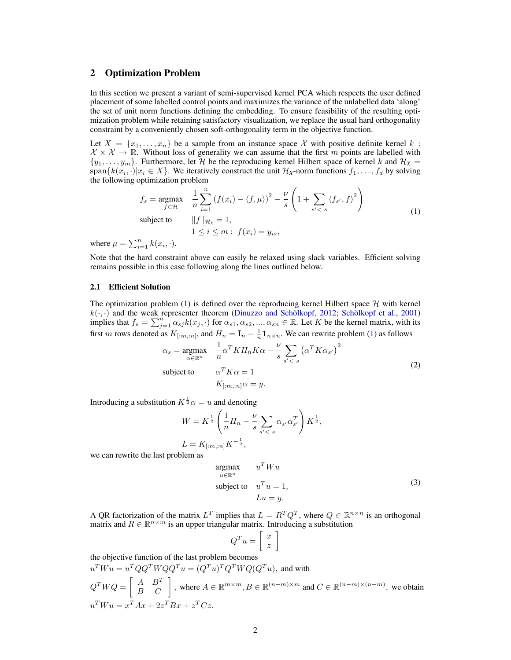## 2 Optimization Problem

In this section we present a variant of semi-supervised kernel PCA which respects the user defined placement of some labelled control points and maximizes the variance of the unlabelled data 'along' the set of unit norm functions defining the embedding. To ensure feasibility of the resulting optimization problem while retaining satisfactory visualization, we replace the usual hard orthogonality constraint by a conveniently chosen soft-orthogonality term in the objective function.

Let  $X = \{x_1, \ldots, x_n\}$  be a sample from an instance space X with positive definite kernel k:  $X \times \mathcal{X} \to \mathbb{R}$ . Without loss of generality we can assume that the first m points are labelled with  $\{y_1, \ldots, y_m\}$ . Furthermore, let  $\mathcal{H}$  be the reproducing kernel Hilbert space of kernel k and  $\mathcal{H}_X$  = span $\{k(x_i, \cdot)|x_i \in X\}$ . We iteratively construct the unit  $\mathcal{H}_X$ -norm functions  $f_1, \ldots, f_d$  by solving the following optimization problem

<span id="page-1-0"></span>
$$
f_s = \underset{f \in \mathcal{H}}{\text{argmax}} \quad \frac{1}{n} \sum_{i=1}^n \left( f(x_i) - \langle f, \mu \rangle \right)^2 - \frac{\nu}{s} \left( 1 + \sum_{s' < s} \langle f_{s'}, f \rangle^2 \right)
$$
\n
$$
\text{subject to} \quad ||f||_{\mathcal{H}_X} = 1,
$$
\n
$$
1 \le i \le m : f(x_i) = y_{is},
$$
\n
$$
(1)
$$

where  $\mu = \sum_{i=1}^{n} k(x_i, \cdot)$ .

Note that the hard constraint above can easily be relaxed using slack variables. Efficient solving remains possible in this case following along the lines outlined below.

#### 2.1 Efficient Solution

The optimization problem [\(1\)](#page-1-0) is defined over the reproducing kernel Hilbert space  $H$  with kernel  $k(\cdot, \cdot)$  and the weak representer theorem (Dinuzzo and Schölkopf, [2012;](#page-4-14) Schölkopf et al., [2001\)](#page-4-15) implies that  $f_s = \sum_{j=1}^{n} \alpha_{sj} k(x_j, \cdot)$  for  $\alpha_{s1}, \alpha_{s2}, ..., \alpha_{sn} \in \mathbb{R}$ . Let K be the kernel matrix, with its first m rows denoted as  $K_{[m,n]}$ , and  $H_n = I_n - \frac{1}{n} \mathbf{1}_{n \times n}$ . We can rewrite problem [\(1\)](#page-1-0) as follows

$$
\alpha_s = \underset{\alpha \in \mathbb{R}^n}{\text{argmax}} \quad \frac{1}{n} \alpha^T K H_n K \alpha - \frac{\nu}{s} \sum_{s' < s} \left( \alpha^T K \alpha_{s'} \right)^2
$$
\n
$$
\text{subject to} \quad \alpha^T K \alpha = 1
$$
\n
$$
K_{\lfloor m, :n \rfloor} \alpha = y. \tag{2}
$$

Introducing a substitution  $K^{\frac{1}{2}}\alpha = u$  and denoting

$$
\begin{aligned} W &= K^{\frac{1}{2}}\left(\frac{1}{n}H_n - \frac{\nu}{s}\sum_{s'
$$

we can rewrite the last problem as

<span id="page-1-1"></span>
$$
\underset{u \in \mathbb{R}^n}{\text{argmax}} \qquad u^T W u
$$
\n
$$
\text{subject to} \quad u^T u = 1,
$$
\n
$$
Lu = y.
$$
\n(3)

A QR factorization of the matrix  $L^T$  implies that  $L = R^T Q^T$ , where  $Q \in \mathbb{R}^{n \times n}$  is an orthogonal matrix and  $R \in \mathbb{R}^{n \times m}$  is an upper triangular matrix. Introducing a substitution

$$
Q^T u = \left[ \begin{array}{c} x \\ z \end{array} \right]
$$

the objective function of the last problem becomes  $u^T W u = u^T Q Q^T W Q Q^T u = (Q^T u)^T Q^T W Q (Q^T u)$ , and with  $Q^T W Q = \begin{bmatrix} A & B^T \\ B & C \end{bmatrix}$ , where  $A \in \mathbb{R}^{m \times m}$ ,  $B \in \mathbb{R}^{(n-m) \times m}$  and  $C \in \mathbb{R}^{(n-m) \times (n-m)}$ , we obtain  $u^T W u = x^T A x + 2z^T B x + z^T C z.$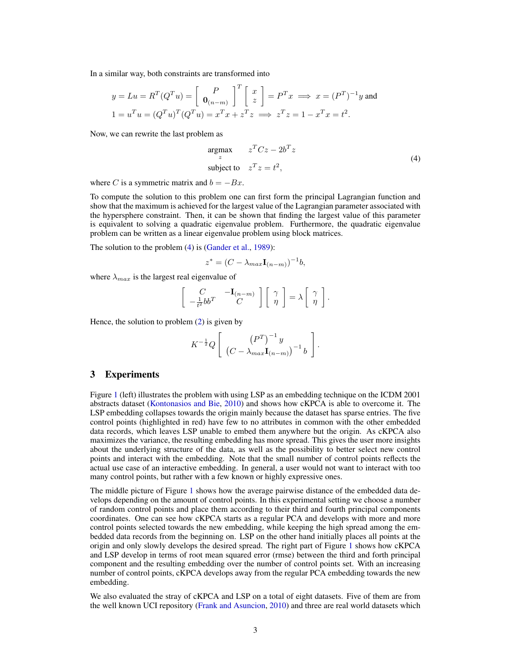In a similar way, both constraints are transformed into

$$
y = Lu = R^{T}(Q^{T}u) = \begin{bmatrix} P \\ \mathbf{0}_{(n-m)} \end{bmatrix}^{T} \begin{bmatrix} x \\ z \end{bmatrix} = P^{T}x \implies x = (P^{T})^{-1}y \text{ and}
$$
  

$$
1 = u^{T}u = (Q^{T}u)^{T}(Q^{T}u) = x^{T}x + z^{T}z \implies z^{T}z = 1 - x^{T}x = t^{2}.
$$

Now, we can rewrite the last problem as

<span id="page-2-0"></span>
$$
\underset{z}{\text{argmax}} \qquad z^T C z - 2b^T z
$$
\n
$$
\text{subject to} \quad z^T z = t^2,\tag{4}
$$

where C is a symmetric matrix and  $b = -Bx$ .

To compute the solution to this problem one can first form the principal Lagrangian function and show that the maximum is achieved for the largest value of the Lagrangian parameter associated with the hypersphere constraint. Then, it can be shown that finding the largest value of this parameter is equivalent to solving a quadratic eigenvalue problem. Furthermore, the quadratic eigenvalue problem can be written as a linear eigenvalue problem using block matrices.

The solution to the problem [\(4\)](#page-2-0) is [\(Gander et al.,](#page-4-16) [1989\)](#page-4-16):

$$
z^* = (C - \lambda_{max} \mathbf{I}_{(n-m)})^{-1}b,
$$

where  $\lambda_{max}$  is the largest real eigenvalue of

$$
\begin{bmatrix} C & -\mathbf{I}_{(n-m)} \\ -\frac{1}{t^2} b b^T & C \end{bmatrix} \begin{bmatrix} \gamma \\ \eta \end{bmatrix} = \lambda \begin{bmatrix} \gamma \\ \eta \end{bmatrix}.
$$

Hence, the solution to problem [\(2\)](#page-1-1) is given by

$$
K^{-\frac{1}{2}}Q\left[\begin{array}{cc}\left(P^{T}\right)^{-1}y\\ \left(C-\lambda_{max}\mathbf{I}_{(n-m)}\right)^{-1}b\end{array}\right].
$$

### 3 Experiments

Figure [1](#page-3-0) (left) illustrates the problem with using LSP as an embedding technique on the ICDM 2001 abstracts dataset [\(Kontonasios and Bie,](#page-4-17) [2010\)](#page-4-17) and shows how cKPCA is able to overcome it. The LSP embedding collapses towards the origin mainly because the dataset has sparse entries. The five control points (highlighted in red) have few to no attributes in common with the other embedded data records, which leaves LSP unable to embed them anywhere but the origin. As cKPCA also maximizes the variance, the resulting embedding has more spread. This gives the user more insights about the underlying structure of the data, as well as the possibility to better select new control points and interact with the embedding. Note that the small number of control points reflects the actual use case of an interactive embedding. In general, a user would not want to interact with too many control points, but rather with a few known or highly expressive ones.

The middle picture of Figure [1](#page-3-0) shows how the average pairwise distance of the embedded data develops depending on the amount of control points. In this experimental setting we choose a number of random control points and place them according to their third and fourth principal components coordinates. One can see how cKPCA starts as a regular PCA and develops with more and more control points selected towards the new embedding, while keeping the high spread among the embedded data records from the beginning on. LSP on the other hand initially places all points at the origin and only slowly develops the desired spread. The right part of Figure [1](#page-3-0) shows how cKPCA and LSP develop in terms of root mean squared error (rmse) between the third and forth principal component and the resulting embedding over the number of control points set. With an increasing number of control points, cKPCA develops away from the regular PCA embedding towards the new embedding.

We also evaluated the stray of cKPCA and LSP on a total of eight datasets. Five of them are from the well known UCI repository [\(Frank and Asuncion,](#page-4-18) [2010\)](#page-4-18) and three are real world datasets which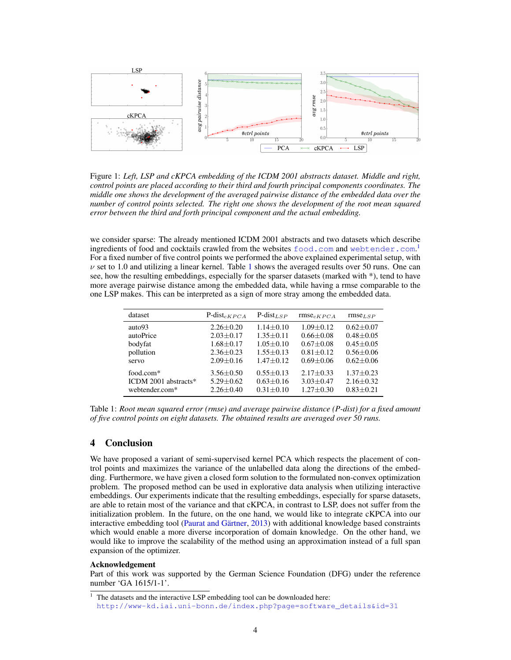

<span id="page-3-0"></span>Figure 1: *Left, LSP and cKPCA embedding of the ICDM 2001 abstracts dataset. Middle and right, control points are placed according to their third and fourth principal components coordinates. The middle one shows the development of the averaged pairwise distance of the embedded data over the number of control points selected. The right one shows the development of the root mean squared error between the third and forth principal component and the actual embedding.*

we consider sparse: The already mentioned ICDM 2001 abstracts and two datasets which describe ingredients of food and cocktails crawled from the websites  $\texttt{food.com}$  $\texttt{food.com}$  $\texttt{food.com}$  and <webtender.com>.<sup>[1](#page-0-0)</sup> For a fixed number of five control points we performed the above explained experimental setup, with  $\nu$  set to [1](#page-3-1).0 and utilizing a linear kernel. Table 1 shows the averaged results over 50 runs. One can see, how the resulting embeddings, especially for the sparser datasets (marked with \*), tend to have more average pairwise distance among the embedded data, while having a rmse comparable to the one LSP makes. This can be interpreted as a sign of more stray among the embedded data.

<span id="page-3-1"></span>

| dataset              | $P\text{-}dist_{CKPCA}$ | $P$ -dist <sub>LSP</sub> | $rmse_{cKPCA}$ | $rmse_{LSP}$    |
|----------------------|-------------------------|--------------------------|----------------|-----------------|
| auto93               | $2.26 + 0.20$           | $1.14 + 0.10$            | $1.09 + 0.12$  | $0.62 + 0.07$   |
| autoPrice            | $2.03 + 0.17$           | $1.35 + 0.11$            | $0.66 + 0.08$  | $0.48 \pm 0.05$ |
| bodyfat              | $1.68 + 0.17$           | $1.05 + 0.10$            | $0.67 + 0.08$  | $0.45 + 0.05$   |
| pollution            | $2.36 \pm 0.23$         | $1.55 + 0.13$            | $0.81 + 0.12$  | $0.56 \pm 0.06$ |
| servo                | $2.09 + 0.16$           | $1.47 + 0.12$            | $0.69 + 0.06$  | $0.62 + 0.06$   |
| food.com*            | $3.56 \pm 0.50$         | $0.55 + 0.13$            | $2.17 + 0.33$  | $1.37 + 0.23$   |
| ICDM 2001 abstracts* | $5.29 + 0.62$           | $0.63 + 0.16$            | $3.03 + 0.47$  | $2.16 + 0.32$   |
| webtender.com*       | $2.26 + 0.40$           | $0.31 + 0.10$            | $1.27 + 0.30$  | $0.83 + 0.21$   |

Table 1: *Root mean squared error (rmse) and average pairwise distance (P-dist) for a fixed amount of five control points on eight datasets. The obtained results are averaged over 50 runs.*

## 4 Conclusion

We have proposed a variant of semi-supervised kernel PCA which respects the placement of control points and maximizes the variance of the unlabelled data along the directions of the embedding. Furthermore, we have given a closed form solution to the formulated non-convex optimization problem. The proposed method can be used in explorative data analysis when utilizing interactive embeddings. Our experiments indicate that the resulting embeddings, especially for sparse datasets, are able to retain most of the variance and that cKPCA, in contrast to LSP, does not suffer from the initialization problem. In the future, on the one hand, we would like to integrate cKPCA into our interactive embedding tool (Paurat and Gärtner, [2013\)](#page-4-1) with additional knowledge based constraints which would enable a more diverse incorporation of domain knowledge. On the other hand, we would like to improve the scalability of the method using an approximation instead of a full span expansion of the optimizer.

#### Acknowledgement

Part of this work was supported by the German Science Foundation (DFG) under the reference number 'GA 1615/1-1'.

 $1$  The datasets and the interactive LSP embedding tool can be downloaded here: [http://www-kd.iai.uni-bonn.de/index.php?page=software\\_details&id=31](http://www-kd.iai.uni-bonn.de/index.php?page=software_details&id=31)